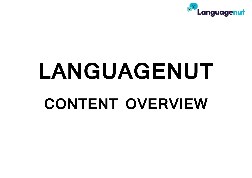

# **LANGUAGENUT CONTENT OVERVIEW**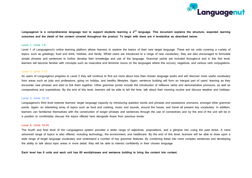

**Languagenut is a comprehensive language tool to support students learning a 2nd language. This document explains the structure, expected learning outcomes and the detail of the content covered throughout the product. To begin with there are 4 levels/dice as described below.**

#### **Level 1: Units 1-6**

Level 1 of Languagenut's online learning platform allows learners to explore the basics of their new target language. There are six units covering a variety of topics, such as greetings, food and drink, hobbies, and family. Whilst users are introduced to a range of new vocabulary, they are also encouraged to formulate simple phrases and sentences to further develop their knowledge and use of the language. Grammar points are included throughout and in this first level, learners will become familiar with concepts such as masculine and feminine nouns (in the languages where this occurs), negatives, and various verb conjugations.

#### **Level 2: Units 7-12**

As users of Languagenut progress to Level 2 they will continue to find out more about how their chosen language works and will discover more useful vocabulary from areas such as jobs and professions, going on holiday, and healthy lifestyles. Again, sentence building will form an integral part of users' learning as they encounter new phrases and start to link them together. Other grammar points include the introduction of reflexive verbs and demonstrative pronouns, as well as comparatives and superlatives. By the end of this level, learners will be able to tell the time, talk about their morning routine and discuss weather and holidays.

#### **Level 3: Units 13-18**

Languagenut's third level extends learners' target language capacity by introducing question words and phrases and possessive pronouns, amongst other grammar points. Again, an interesting array of topics such as food and cooking, music and sounds, around the house, and travel all present key vocabulary. In addition, learners can familiarise themselves with the construction of longer phrases and sentences through the use of connectives and by the end of the unit will be in a position to comfortably discuss the topics offered here alongside those from previous levels.

#### **Level 4: Units 19-24**

The fourth and final level of the Languagenut system provides a wider range of adjectives, prepositions, and a glimpse into using the past tense. A more advanced range of topics is also offered, including technology, the environment, and healthcare. By the end of this level, learners will be able to draw upon a wide range of target language vocabulary and understand a number of key grammar features. By combining these into more complex sentences and developing the ability to talk about topic areas in more detail, they will be able to interact confidently in their chosen language.

**Each level has 6 units and each unit has 60 word/phrases and sentence building to bring the content into context.**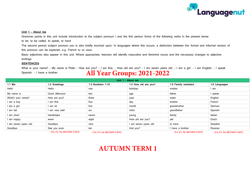

#### **Unit 1 – About me**

Grammar points in this unit include introduction to the subject pronoun I and the first person forms of the following verbs in the present tense:

to be, to be called, to speak, to have

The second person subject pronoun you is also briefly touched upon. In languages where this occurs, a distinction between the formal and informal version of this pronoun can be explored, e.g. French tu vs vous.

Basic adjectives also appear in this unit. Where appropriate, learners will identify masculine and feminine nouns and the necessary changes to adjective endings.

#### **SENTENCES**

What is your name? - My name is Peter - How are you? - I am fine. - How old are you? - I am seven years old. - I am a girl. - I am English. - I speak Spanish. - I have a brother.

# **All Year Groups: 2021-2022**

| Unit 1 - About me    |                           |                           |                      |                           |                           |  |  |
|----------------------|---------------------------|---------------------------|----------------------|---------------------------|---------------------------|--|--|
| 1.1 Me               | 1.2 Greetings             | 1.3 Numbers 1-10          | 1.4 How old are you? | 1.5 Family members        | 1.6 Languages             |  |  |
| Hello                | Hello                     | one                       | birthday             | mother                    | l am                      |  |  |
| My name is           | Good afternoon            | two                       | age                  | father                    | I speak                   |  |  |
| What's your name?    | How are you?              | three                     | year                 | sister                    | English                   |  |  |
| l am a boy           | am fine                   | four                      | day                  | brother                   | French                    |  |  |
| am a girl            | am ok                     | five                      | month                | grandmother               | German                    |  |  |
| am tall              | am very well              | six                       | child                | grandfather               | Spanish                   |  |  |
| am short             | handshake                 | seven                     | young                | family                    | Italian                   |  |  |
| am happy             | wave                      | eight                     | How old are you?     | pet                       | Dutch                     |  |  |
| I am seven years old | Goodbye                   | nine                      | I am seven years old | to have                   | Swedish                   |  |  |
| Goodbye              | See you soon              | ten                       | And you?             | I have a brother          | Russian                   |  |  |
|                      | (Y4, Y5, Y6: REVIEW UNIT) | (Y4, Y5, Y6: REVIEW UNIT) |                      | (Y4, Y5, Y6: REVIEW UNIT) | (Y4, Y5, Y6; REVIEW UNIT) |  |  |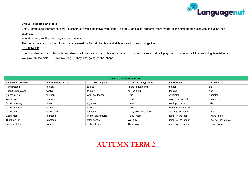

#### **Unit 2 – Hobbies and pets**

Unit 2 introduces learners to how to construct simple negative verb form I do not... and also presents more verbs in the first person singular, including, for example:

to understand, to like, to play, to read, to watch

The verbs here and in Unit 1 can be examined to find similarities and differences in their conjugation.

#### **SENTENCES**

I don't understand. - I play with my friends. - I like reading. - I play on a tablet. - I do not have a pet. - I play catch outdoors. - I like watching television. -We play on the field. - I love my dog. - They like going to the shops.

| Unit 2 - Hobbies and pets |                   |                    |                       |                     |                    |  |  |  |  |
|---------------------------|-------------------|--------------------|-----------------------|---------------------|--------------------|--|--|--|--|
| 2.1 Useful phrases        | 2.2 Numbers 11-20 | 2.3 I like to play | 2.4 In the playground | 2.5 Hobbies         | 2.6 Pets           |  |  |  |  |
| understand                | eleven            | to like            | in the playground     | football            | cat                |  |  |  |  |
| don't understand          | twelve            | to play            | on the field          | dancing             | dog                |  |  |  |  |
| No thank you              | thirteen          | with my friends    | l run                 | swimming            | hamster            |  |  |  |  |
| Yes please                | fourteen          | alone              | l walk                | playing on a tablet | guinea pig         |  |  |  |  |
| Good morning              | fifteen           | together           | l jump                | reading comics      | rabbit             |  |  |  |  |
| Good evening              | sixteen           | indoors            | I skip                | watching television | bird               |  |  |  |  |
| Good day                  | seventeen         | outdoors           | I play hide and seek  | listening to music  | horse              |  |  |  |  |
| Good night                | eighteen          | in the playground  | I play catch          | going to the park   | I have a pet       |  |  |  |  |
| Thanks a lot              | nineteen          | after school       | We play               | going to the beach  | I do not have pets |  |  |  |  |
| See you later             | twenty            | at break time      | They play             | going to the shops  | I love my pet      |  |  |  |  |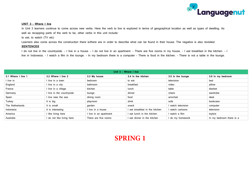

#### **UNIT 3 – Where I live**

In Unit 3 learners continue to come across new verbs. Here the verb to live is explored in terms of geographical location as well as types of dwelling. As well as recapping parts of the verb to be, other verbs in this unit include:

to eat, to watch (TV etc)

Learners also come across the construction there is/there are in order to describe what can be found in their house. The negative is also revisited.

#### **SENTENCES**

I do not live in the countryside. - I live in a house. - I do not live in an apartment. - There are five rooms in my house. - I eat breakfast in the kitchen. - I live in Indonesia. - I watch a film in the lounge. - In my bedroom there is a computer - There is food in the kitchen. - There is not a table in the lounge.

| Unit 3 - Where I live |                           |                        |                                |                   |                          |  |  |  |
|-----------------------|---------------------------|------------------------|--------------------------------|-------------------|--------------------------|--|--|--|
| 3.1 Where I live 1    | 3.2 Where I live 2        | 3.3 My house           | 3.4 In the kitchen             | 3.5 In the lounge | 3.6 In my bedroom        |  |  |  |
| l live in             | I live in a town          | bedroom                | to eat                         | television        | bed                      |  |  |  |
| England               | I live in a city          | bathroom               | breakfast                      | video             | pillow                   |  |  |  |
| France                | I live in a village       | kitchen                | lunch                          | table             | blanket                  |  |  |  |
| Germany               | I live in the countryside | lounge                 | dinner                         | chairs            | wardrobe                 |  |  |  |
| Spain                 | live near the sea         | dining room            | food                           | armchair          | desk                     |  |  |  |
| Turkey                | It is big                 | playroom               | drink                          | sofa              | bookcase                 |  |  |  |
| The Netherlands       | It is small               | garden                 | snack                          | watch television  | computer                 |  |  |  |
| Indonesia             | It is interesting         | l live in a house      | I eat breakfast in the kitchen | watch cartoons    | television               |  |  |  |
| America               | I like living here        | I live in an apartment | I eat lunch in the kitchen     | watch a film      | toybox                   |  |  |  |
| Australia             | I do not like living here | There are five rooms   | I eat dinner in the kitchen    | do my homework    | In my bedroom there is a |  |  |  |

# **SPRING 1**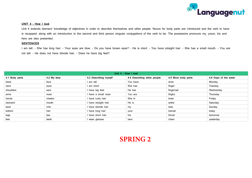

#### **UNIT 4 – How I look**

Unit 4 extends learners' knowledge of adjectives in order to describe themselves and other people. Nouns for body parts are introduced and the verb to have is recapped, along with an introduction to the second and third person singular conjugations of the verb to be. The possessive pronouns my, yours, his and hers are also presented.

#### **SENTENCES**

I am tall. - She has long hair. - Your eyes are blue. - Do you have brown eyes? - He is short. - You have straight hair. - She has a small mouth. - You are not tall. - He does not have blonde hair. - Does he have big feet?

| Unit 4 - How I look |             |                       |                             |                     |                      |  |  |  |  |
|---------------------|-------------|-----------------------|-----------------------------|---------------------|----------------------|--|--|--|--|
| 4.1 Body parts      | 4.2 My face | 4.3 Describing myself | 4.4 Describing other people | 4.5 More body parts | 4.6 Days of the week |  |  |  |  |
| head                | face        | am tall               | You have                    | wrist               | Monday               |  |  |  |  |
| neck                | eyes        | am short              | She has                     | finger              | Tuesday              |  |  |  |  |
| shoulders           | ears        | I have big feet       | He has                      | fingernail          | Wednesday            |  |  |  |  |
| arms                | nose        | I have a small nose   | You are                     | thighs              | Thursday             |  |  |  |  |
| hands               | cheeks      | I have curly hair     | She is                      | knee                | Friday               |  |  |  |  |
| stomach             | mouth       | have straight hair    | He is                       | ankle               | Saturday             |  |  |  |  |
| back                | chin        | I have blonde hair    | my                          | toes                | Sunday               |  |  |  |  |
| bottom              | hair        | I have long hair      | your                        | toenail             | today                |  |  |  |  |
| legs                | lips        | I have short hair     | his                         | throat              | tomorrow             |  |  |  |  |
| feet                | teeth       | wear glasses          | hers                        | chest               | yesterday            |  |  |  |  |

## **SPRING 2**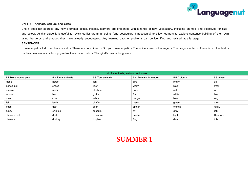

#### **UNIT 5 – Animals, colours and sizes**

Unit 5 does not address any new grammar points. Instead, learners are presented with a range of new vocabulary, including animals and adjectives for size and colour. At this stage it is useful to revisit earlier grammar points (and vocabulary if necessary) to allow learners to explore sentence building of their own using the verbs and phrases they have already encountered. Any learning gaps or problems can be identified and revised at this stage.

#### **SENTENCES**

I have a pet. - I do not have a cat. - There are four lions. - Do you have a pet? - The spiders are not orange. - The frogs are fat. - There is a blue bird. -He has two snakes. - In my garden there is a duck. - The giraffe has a long neck.

| Unit 5 - Animals, colours and sizes |                  |                 |                       |             |           |  |  |  |
|-------------------------------------|------------------|-----------------|-----------------------|-------------|-----------|--|--|--|
| 5.1 More about pets                 | 5.2 Farm animals | 5.3 Zoo animals | 5.4 Animals in nature | 5.5 Colours | 5.6 Sizes |  |  |  |
| rabbit                              | horse            | lion            | bird                  | brown       | big       |  |  |  |
| guinea pig                          | sheep            | tiger           | worm                  | black       | small     |  |  |  |
| hamster                             | rabbit           | elephant        | hare                  | red         | fat       |  |  |  |
| mouse                               | hen              | gorilla         | fox                   | white       | thin      |  |  |  |
| pony                                | <b>COW</b>       | zebra           | badger                | blue        | long      |  |  |  |
| fish                                | lamb             | giraffe         | insect                | green       | short     |  |  |  |
| kitten                              | goat             | bear            | spider                | orange      | heavy     |  |  |  |
| puppy                               | chicken          | penguin         | fly                   | grey        | light     |  |  |  |
| I have a pet                        | duck             | crocodile       | snake                 | light       | They are  |  |  |  |
| have a                              | donkey           | dolphin         | frog                  | dark        | It is     |  |  |  |

## **SUMMER 1**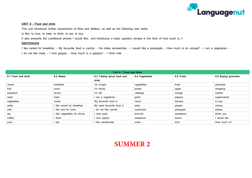

#### **UNIT 6 – Food and drink**

This unit introduces further expressions of likes and dislikes, as well as the following new verbs:

to like, to love, to hate, to drink, to eat, to buy

It also presents the conditional phrase I would like... and introduces a basic question phrase in the form of how much is...?

#### **SENTENCES**

I like cereal for breakfast. - My favourite food is carrots. - He hates sandwiches. - I would like a pineapple. - How much is an orange? - I am a vegetarian. -

I do not like meat. - I love grapes. - How much is a papaya? - I drink milk.

| Unit 6 - Food and drink |                              |                            |                |            |                      |  |  |  |
|-------------------------|------------------------------|----------------------------|----------------|------------|----------------------|--|--|--|
| 6.1 Food and drink      | 6.2 Meals                    | 6.3 Talking about food and | 6.4 Vegetables | 6.5 Fruits | 6.6 Buying groceries |  |  |  |
|                         |                              | drink                      |                |            |                      |  |  |  |
| cereal                  | breakfast                    | I'm hungry                 | vegetables     | fruits     | groceries            |  |  |  |
| fruit                   | lunch                        | I'm thirsty                | potato         | apple      | shopping             |  |  |  |
| sandwich                | dinner                       | I'm full                   | cabbage        | orange     | market               |  |  |  |
| meat                    | meal                         | am a vegetarian            | garlic         | papaya     | supermarket          |  |  |  |
| vegetables              | snack                        | My favourite food is       | carrot         | banana     | to buy               |  |  |  |
| water                   | I like cereal for breakfast  | My least favourite food is | peas           | grapes     | money                |  |  |  |
| milk                    | I like fruit for lunch       | I do not like carrots      | mushroom       | pineapple  | please               |  |  |  |
| tea                     | I like vegetables for dinner | I hate peas                | broccoli       | strawberry | thank you            |  |  |  |
| coffee                  | I drink                      | I love apples              | sweetcorn      | lemon      | I would like         |  |  |  |
| juice                   | I eat                        | I like sandwiches          | onion          | lime       | How much is?         |  |  |  |

### **SUMMER 2**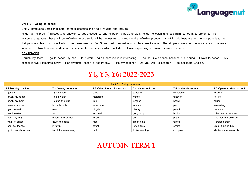

#### **UNIT 7 – Going to school**

Unit 7 introduces verbs that help learners describe their daily routine and include:

to get up, to brush (hair/teeth), to shower, to get dressed, to eat, to pack (a bag), to walk, to go, to catch (the bus/train), to learn, to prefer, to like In some languages, these will be reflexive verbs, so it will be necessary to introduce the reflexive pronoun myself in this instance and to compare it to the first person subject pronoun I which has been used so far. Some basic prepositions of place are included. The simple conjunction because is also presented in order to allow learners to develop more complex sentences which include a clause expressing a reason or an explanation.

#### **SENTENCES**

I brush my teeth. - I go to school by car. - He prefers English because it is interesting. - I do not like science because it is boring. - I walk to school. - My school is two kilometres away. - Her favourite lesson is geography. - I like my teacher. - Do you walk to school? - I do not learn English.

### **Y4, Y5, Y6: 2022-2023**

| Unit 7 - Going to school |                       |                              |                   |                      |                           |  |  |
|--------------------------|-----------------------|------------------------------|-------------------|----------------------|---------------------------|--|--|
| 7.1 Morning routine      | 7.2 Getting to school | 7.3 Other forms of transport | 7.4 My school day | 7.5 In the classroom | 7.6 Opinions about school |  |  |
| I get up                 | l go on foot          | coach                        | to learn          | classroom            | to prefer                 |  |  |
| I brush my teeth         | l go by car           | motorbike                    | maths             | teacher              | to like                   |  |  |
| I brush my hair          | catch the bus         | train                        | English           | board                | boring                    |  |  |
| I have a shower          | My school is          | aeroplane                    | science           | pen                  | interesting               |  |  |
| I get dressed            | near                  | bicycle                      | history           | pencil               | because                   |  |  |
| I eat breakfast          | far                   | to travel                    | geography         | books                | I like maths lessons      |  |  |
| I pack my bag            | around the corner     | to go                        | art               | paper                | I do not like science     |  |  |
| I walk to school         | down the road         | road                         | break time        | tables               | I prefer history          |  |  |
| I see my friends         | in town               | street                       | lunch time        | chairs               | Break time is fun         |  |  |
| I go to my classroom     | two kilometres away   | path                         | I like learning   | computer             | My favourite lesson is    |  |  |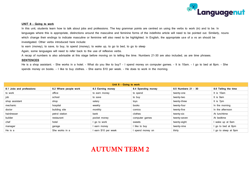

#### **UNIT 8 – Going to work**

In this unit, students learn how to talk about jobs and professions. The key grammar points are centred on using the verbs to work (in) and to be. In languages where this is appropriate, distinctions around the masculine and feminine forms of the indefinite article will need to be pointed out. Similarly, nouns which change their endings to indicate masculine or feminine will also need to be highlighted. In English, the appropriate use of a vs an should be investigated. Other verbs introduced here include:

to earn (money), to save, to buy, to spend (money), to wake up, to go to bed, to go to sleep

Again, some languages will need to refer back to the use of reflexive verbs.

A recap of numbers is also advisable at this stage before moving on to telling the time. Numbers 21-30 are also included, as are time phrases.

#### **SENTENCES**

He is a shop assistant. - She works in a hotel. - What do you like to buy? - I spend money on computer games. - It is 10am. - I go to bed at 8pm. - She spends money on books. - I like to buy clothes. - She earns \$10 per week. - He does to work in the morning.

| Unit 8 - Going to work   |                       |                    |                    |                     |                      |  |  |  |
|--------------------------|-----------------------|--------------------|--------------------|---------------------|----------------------|--|--|--|
| 8.1 Jobs and professions | 8.2 Where people work | 8.3 Earning money  | 8.4 Spending money | 8.5 Numbers 21 - 30 | 8.6 Telling the time |  |  |  |
| to work                  | office                | to earn money      | to spend           | twenty-one          | It is 10am           |  |  |  |
| job                      | school                | to save            | to buy             | twenty-two          | It is 9am            |  |  |  |
| shop assistant           | shop                  | salary             | toys               | twenty-three        | It is 7pm            |  |  |  |
| mechanic                 | hospital              | weekly             | books              | twenty-four         | In the morning       |  |  |  |
| doctor                   | building site         | monthly            | comics             | twenty-five         | In the afternoon     |  |  |  |
| hairdresser              | petrol station        | bank               | clothes            | twenty-six          | At lunchtime         |  |  |  |
| builder                  | restaurant            | pocket money       | computer games     | twenty-seven        | At bedtime           |  |  |  |
| chef                     | hotel                 | go to work         | sweets             | twenty-eight        | wake up at 6am       |  |  |  |
| manager                  | garage                | earn money         | I like to buy      | twenty-nine         | go to bed at 8pm     |  |  |  |
| He is a                  | She works in a        | earn \$10 per week | I spend money on   | thirty              | go to sleep at 9pm   |  |  |  |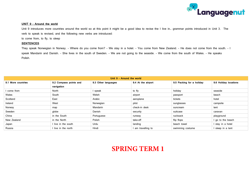

#### **UNIT 9 – Around the world**

Unit 9 introduces more countries around the world so at this point it might be a good idea to revise the I live in... grammar points introduced in Unit 3. The verb to speak is revised, and the following new verbs are introduced:

to come from, to fly, to sleep

#### **SENTENCES**

They speak Norwegian in Norway. - Where do you come from? - We stay in a hotel. - You come from New Zealand. - He does not come from the south. - I speak Mandarin and Danish. - She lives in the south of Sweden. - We are not going to the seaside. - We come from the south of Wales. - He speaks Polish.

| Unit 9 - Around the world |                        |                     |                    |                           |                       |  |  |  |
|---------------------------|------------------------|---------------------|--------------------|---------------------------|-----------------------|--|--|--|
| 9.1 More countries        | 9.2 Compass points and | 9.3 Other languages | 9.4 At the airport | 9.5 Packing for a holiday | 9.6 Holiday locations |  |  |  |
|                           | navigation             |                     |                    |                           |                       |  |  |  |
| come from                 | North                  | speak               | to fly             | holiday                   | seaside               |  |  |  |
| Wales                     | South                  | Welsh               | airport            | passport                  | beach                 |  |  |  |
| Scotland                  | East                   | Arabic              | aeroplane          | tickets                   | hotel                 |  |  |  |
| Ireland                   | West                   | Norwegian           | pilot              | sunglasses                | campsite              |  |  |  |
| Norway                    | map                    | <b>Mandarin</b>     | check-in desk      | suncream                  | tent                  |  |  |  |
| Sweden                    | globe                  | Danish              | security           | suitcase                  | caravan               |  |  |  |
| China                     | in the South           | Portuguese          | runway             | rucksack                  | playground            |  |  |  |
| New Zealand               | in the North           | Polish              | take-off           | flip flops                | I go to the beach     |  |  |  |
| Japan                     | I live in the south    | Urdu                | landing            | beach towel               | I stay in a hotel     |  |  |  |
| Russia                    | I live in the north    | Hindi               | I am travelling to | swimming costume          | I sleep in a tent     |  |  |  |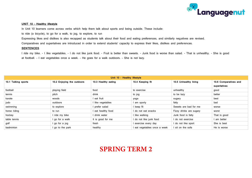

#### **UNIT 10 – Healthy lifestyle**

In Unit 10 learners come across verbs which help them talk about sports and being outside. These include:

to ride (a bicycle), to go for a walk, to jog, to explore, to run

Expressing likes and dislikes is also recapped as students talk about their food and eating preferences, and similarly negatives are revised.

Comparatives and superlatives are introduced in order to extend students' capacity to express their likes, dislikes and preferences.

#### **SENTENCES**

I ride my bike. - I like vegetables. - I do not like junk food. - Fruit is better than sweets. - Junk food is worse than salad. - That is unhealthy. - She is good at football. - I eat vegetables once a week. - He goes for a walk outdoors. - She is not lazy.

| Unit 10 - Healthy lifestyle |                            |                     |                              |                         |                       |  |  |  |
|-----------------------------|----------------------------|---------------------|------------------------------|-------------------------|-----------------------|--|--|--|
| 10.1 Talking sports         | 10.2 Enjoying the outdoors | 10.3 Healthy eating | 10.4 Keeping fit             | 10.5 Unhealthy living   | 10.6 Comparatives and |  |  |  |
|                             |                            |                     |                              |                         | superlatives          |  |  |  |
| football                    | playing field              | food                | to exercise                  | unhealthy               | good                  |  |  |  |
| tennis                      | pitch                      | drink               | to jog                       | to be lazy              | better                |  |  |  |
| karate                      | woods                      | eat fruit           | yoga                         | sugary                  | best                  |  |  |  |
| judo                        | outdoors                   | I like vegetables   | I am sporty                  | fatty                   | bad                   |  |  |  |
| swimming                    | to explore                 | I prefer salad      | I keep fit                   | Sweets are bad for me   | worse                 |  |  |  |
| horse riding                | to run                     | eat healthy food    | I do not eat snacks          | Fizzy drinks are sugary | worst                 |  |  |  |
| hockey                      | ride my bike               | drink water         | I like walking               | Junk food is fatty      | That is good          |  |  |  |
| table tennis                | go for a walk              | It is good for me   | I do not like junk food      | I do not exercise       | I am better           |  |  |  |
| golf                        | go for a jog               | fresh               | I exercise every day         | I do not like sport     | She is best           |  |  |  |
| badminton                   | go to the park             | healthy             | l eat vegetables once a week | I sit on the sofa       | He is worse           |  |  |  |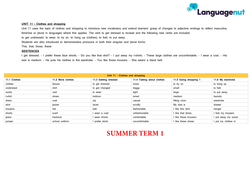

#### **UNIT 11 – Clothes and shopping**

Unit 11 uses the topic of clothes and shopping to introduce new vocabulary and extend learners' grasp of changes to adjective endings to reflect masculine, feminine or plural in languages where this applies. The verb to get dressed is revised and the following new verbs are included: to get undressed, to wear, to try on, to hang up (clothes), to fold, to put away Students are also introduced to demonstrative pronouns in both their singular and plural forms: This, that, those, these

#### **SENTENCES**

I get dressed. - I prefer these blue shorts. - Do you like that skirt? - I put away my t-shirts. - These large clothes are uncomfortable. - I wear a coat. - His size is medium. - He puts his clothes in the wardrobe. - You like those trousers. - She wears a black belt.

| Unit 11 - Clothes and shopping |                   |                      |                            |                       |                     |  |  |  |
|--------------------------------|-------------------|----------------------|----------------------------|-----------------------|---------------------|--|--|--|
| 11.1 Clothes                   | 11.2 More clothes | 11.3 Getting dressed | 11.4 Talking about clothes | 11.5 Going shopping 1 | 11.6 My wardrobe    |  |  |  |
| clothes                        | blouse            | to get dressed       | loose                      | to try on             | to hang up          |  |  |  |
| underwear                      | shirt             | to get changed       | baggy                      | small                 | to fold             |  |  |  |
| socks                          | vest              | to wear              | tight                      | large                 | to put away         |  |  |  |
| t-shirt                        | shoes             | buttons              | smart                      | medium                | laundry             |  |  |  |
| dress                          | coat              | zip                  | casual                     | fitting room          | wardrobe            |  |  |  |
| skirt                          | jacket            | laces                | scruffy                    | My size is            | drawer              |  |  |  |
| trousers                       | hat               | belt                 | fashionable                | I like this skirt     | hanger              |  |  |  |
| shorts                         | scarf             | I wear a coat        | unfashionable              | I like that dress     | I fold my trousers  |  |  |  |
| jeans                          | tracksuit         | I wear shorts        | comfortable                | I like those trousers | I put away my socks |  |  |  |
| jumper                         | school uniform    | I prefer skirts      | uncomfortable              | I like these shoes    | I put my clothes in |  |  |  |

## **SUMMER TERM 1**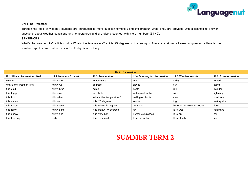

#### **UNIT 12 – Weather**

Through the topic of weather, students are introduced to more question formats using the pronoun what. They are provided with a scaffold to answer questions about weather conditions and temperatures and are also presented with more numbers (31-40).

#### **SENTENCES**

What's the weather like? - It is cold. - What's the temperature? - It is 25 degrees. - It is sunny. - There is a storm. - I wear sunglasses. - Here is the weather report. - You put on a scarf. - Today is not cloudy.

| Unit 12 - Weather             |                      |                         |                               |                            |                      |  |  |  |
|-------------------------------|----------------------|-------------------------|-------------------------------|----------------------------|----------------------|--|--|--|
| 12.1 What's the weather like? | 12.2 Numbers 31 - 40 | 12.3 Temperature        | 12.4 Dressing for the weather | 12.5 Weather reports       | 12.6 Extreme weather |  |  |  |
| weather                       | thirty-one           | temperature             | scarf                         | today                      | tornado              |  |  |  |
| What's the weather like?      | thirty-two           | degrees                 | gloves                        | sun                        | storm                |  |  |  |
| It is cold                    | thirty-three         | minus                   | boots                         | rain                       | thunder              |  |  |  |
| It is foggy                   | thirty-four          | Is it hot?              | waterproof jacket             | wind                       | lightning            |  |  |  |
| It is hot                     | thirty-five          | What's the temperature? | wellington boots              | cloud                      | hurricane            |  |  |  |
| It is sunny                   | thirty-six           | It is 25 degrees        | sunhat                        | fog                        | earthquake           |  |  |  |
| It is windy                   | thirty-seven         | It is minus 5 degrees   | umbrella                      | Here is the weather report | flood                |  |  |  |
| It is rainy                   | thirty-eight         | It is below 10 degrees  | fan                           | It is wet                  | heatwave             |  |  |  |
| It is snowy                   | thirty-nine          | It is very hot          | I wear sunglasses             | It is dry                  | hail                 |  |  |  |
| It is freezing                | forty                | It is very cold         | I put on a hat                | It is cloudy               | icy                  |  |  |  |

## **SUMMER TERM 2**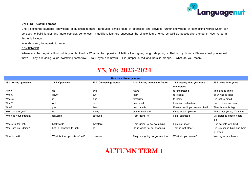

#### **UNIT 13 – Useful phrases**

Unit 13 extends students' knowledge of question formats, introduces simple pairs of opposites and provides further knowledge of connecting words which can be used to build longer and more complex sentences. In addition, learners encounter the simple future tense as well as possessive pronouns. New verbs in this unit include:

to understand, to repeat, to know

#### **SENTENCES**

Where are the dogs? - How old is your brother? - What is the opposite of left? - I am going to go shopping. - That is my book. - Please could you repeat that? - They are going to go swimming tomorrow. - Your eyes are brown. - His jumper is red and hers is orange. - What do you mean?

### **Y5, Y6: 2023-2024**

| Unit 13 - Useful phrases |                               |                       |                                |                               |                             |  |  |  |
|--------------------------|-------------------------------|-----------------------|--------------------------------|-------------------------------|-----------------------------|--|--|--|
| 13.1 Asking questions    | 13.2 Opposites                | 13.3 Connecting words | 13.4 Talking about the future  | 13.5 Saying that you don't    | 13.6 Mine and yours         |  |  |  |
|                          |                               |                       |                                | understand                    |                             |  |  |  |
| How?                     | up                            | and                   | future                         | to understand                 | The dog is mine             |  |  |  |
| When?                    | down                          | but                   | later                          | to repeat                     | Your hair is long           |  |  |  |
| Where?                   | in                            | also                  | tomorrow                       | to know                       | His cat is small            |  |  |  |
| What?                    | out                           | next                  | next week                      | I do not understand           | Her clothes are new         |  |  |  |
| Who?                     | yes                           | then                  | next month                     | Please could you repeat that? | Their house is big          |  |  |  |
| How old are you?         | no                            | finally               | at the weekend                 | Once again, please            | That's not yours, it's mine |  |  |  |
| When is your birthday?   | forwards                      | because               | I am going to                  | I am confused                 | My sister is fifteen years  |  |  |  |
|                          |                               |                       |                                |                               | old                         |  |  |  |
| Where is the cat?        | backwards                     | therefore             | am going to go swimming        | I do not know                 | Our parents are kind        |  |  |  |
| What are you doing?      | Left is opposite to right     | so                    | He is going to go shopping     | That is not clear             | His jumper is blue and hers |  |  |  |
|                          |                               |                       |                                |                               | is green                    |  |  |  |
| Who is that?             | What is the opposite of left? | however               | They are going to go into town | What do you mean?             | Your eyes are brown         |  |  |  |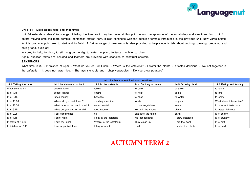

#### **UNIT 14 – More about food and mealtimes**

Unit 14 extends students' knowledge of telling the time so it may be useful at this point to also recap some of the vocabulary and structures from Unit 8 before moving onto the more complex sentences offered here. It also continues with the question formats introduced in the previous unit. New verbs helpful for this grammar point are: to start and to finish. A further range of new verbs is also providing to help students talk about cooking, growing, preparing and eating food, such as:

to cook, to help, to chop, to stir, to grow, to dig, to water, to plant, to taste , to bite, to chew

Again, question forms are included and learners are provided with scaffolds to construct answers.

#### **SENTENCES**

What time is it? - It finishes at 5pm. - What do you eat for lunch? - Where is the cafeteria? - I water the plants. - It tastes delicious. - We eat together in the cafeteria. - It does not taste nice. - She lays the table and I chop vegetables. - Do you grow potatoes?

| Unit 14 - More about food and mealtimes |                               |                         |                      |                    |                          |  |  |  |
|-----------------------------------------|-------------------------------|-------------------------|----------------------|--------------------|--------------------------|--|--|--|
| 14.1 Telling the time                   | 14.2 Lunchtime at school      | 14.3 In the cafeteria   | 14.4 Cooking at home | 14.5 Growing food  | 14.6 Eating and tasting  |  |  |  |
| What time is it?                        | packed lunch                  | tables                  | to cook              | to grow            | to taste                 |  |  |  |
| It is 7.45                              | school dinner                 | chairs                  | to help              | to dig             | to bite                  |  |  |  |
| It is 3.15                              | lunch money                   | benches                 | to chop              | to water           | to chew                  |  |  |  |
| It is 11.30                             | Where do you eat lunch?       | vending machine         | to stir              | to plant           | What does it taste like? |  |  |  |
| It is 12.30                             | What time is the lunch break? | water fountain          | I chop vegetables    | seeds              | It does not taste nice   |  |  |  |
| It is $6.15$                            | What do you eat for lunch?    | food counter            | You stir the sauce   | plants             | It tastes delicious      |  |  |  |
| It is 9.25                              | eat sandwiches                | till                    | She lays the table   | earth              | It is chewy              |  |  |  |
| It is 4.15                              | drink water                   | l eat in the cafeteria  | We eat together      | I grow potatoes    | It is crunchy            |  |  |  |
| It starts at 10.30                      | l buy my lunch                | Where is the cafeteria? | They clear up        | I dig the earth    | It is soft               |  |  |  |
| It finishes at 2.45                     | eat a packed lunch            | I buy a snack           | I help               | I water the plants | It is hard               |  |  |  |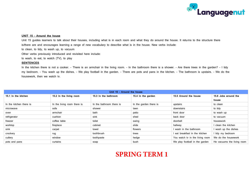

#### **UNIT 15 – Around the house**

Unit 15 guides learners to talk about their houses, including what is in each room and what they do around the house. It returns to the structure there is/there are and encourages learning a range of new vocabulary to describe what is in the house. New verbs include:

to clean, to tidy, to wash up, to vacuum

Other verbs previously introduced and revisited here include:

to wash, to eat, to watch (TV), to play

#### **SENTENCES**

In the kitchen there is not a cooker. - There is an armchair in the living room. - In the bathroom there is a shower. - Are there trees in the garden? - I tidy my bedroom. - You wash up the dishes. - We play football in the garden. - There are pots and pans in the kitchen. - The bathroom is upstairs. - We do the housework, then we watch tv.

| Unit 15 - Around the house |                             |                          |                        |                                 |                            |  |  |
|----------------------------|-----------------------------|--------------------------|------------------------|---------------------------------|----------------------------|--|--|
| 15.1 In the kitchen        | 15.2 In the living room     | 15.3 In the bathroom     | 15.4 In the garden     | 15.5 Around the house           | 15.6 Jobs around the       |  |  |
|                            |                             |                          |                        |                                 | house                      |  |  |
| In the kitchen there is    | In the living room there is | In the bathroom there is | In the garden there is | upstairs                        | to clean                   |  |  |
| microwave                  | sofa                        | shower                   | lawn                   | downstairs                      | to tidy                    |  |  |
| oven                       | armchair                    | bath                     | patio                  | front door                      | to wash up                 |  |  |
| refrigerator               | cushion                     | sink                     | shed                   | back door                       | to vacuum                  |  |  |
| freezer                    | coffee table                | toilet                   | swing                  | doorbell                        | housework                  |  |  |
| worktop                    | fireplace                   | cabinet                  | slide                  | hallway                         | clean the kitchen          |  |  |
| sink                       | carpet                      | towel                    | flowers                | I wash in the bathroom          | wash up the dishes         |  |  |
| crockery                   | rug                         | toothbrush               | trees                  | I eat breakfast in the kitchen  | I tidy my bedroom          |  |  |
| cutlery                    | window                      | toothpaste               | hedge                  | You watch tv in the living room | We do the housework        |  |  |
| pots and pans              | curtains                    | soap                     | bush                   | We play football in the garden  | He vacuums the living room |  |  |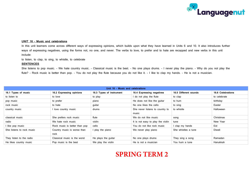

#### **UNIT 16 – Music and celebrations**

In this unit learners come across different ways of expressing opinions, which builds upon what they have learned in Units 6 and 10. It also introduces further ways of expressing negatives, using the forms not, no one, and never. The verbs to love, to prefer and to hate are recapped and new verbs in this unit include:

to listen, to clap, to sing, to whistle, to celebrate

#### **SENTENCES**

She listens to pop music. - We hate country music. - Classical music is the best. - No one plays drums. - I never play the piano. - Why do you not play the flute? - Rock music is better than pop. - You do not play the flute because you do not like it. - I like to clap my hands. - He is not a musician.

| Unit 16 - Music and celebrations |                               |                          |                                   |                       |                   |  |  |  |
|----------------------------------|-------------------------------|--------------------------|-----------------------------------|-----------------------|-------------------|--|--|--|
| 16.1 Types of music              | 16.2 Expressing opinions      | 16.3 Types of instrument | 16.4 Expressing negatives         | 16.5 Different sounds | 16.6 Celebrations |  |  |  |
| to listen to                     | to love                       | to play                  | I do not play the flute           | to clap               | to celebrate      |  |  |  |
| pop music                        | to prefer                     | piano                    | He does not like the guitar       | to hum                | birthday          |  |  |  |
| rock music                       | to hate                       | quitar                   | No one likes the cello            | to sing               | Easter            |  |  |  |
| country music                    | love country music            | drums                    | She never listens to country to   | to whistle            | Halloween         |  |  |  |
|                                  |                               |                          | music                             |                       |                   |  |  |  |
| classical music                  | She prefers rock music        | flute                    | We do not like music              | song                  | Christmas         |  |  |  |
| radio                            | We hate rock music            | violin                   | It is not easy to play the violin | tune                  | New Year          |  |  |  |
| I like pop music                 | Rock music is better than pop | cello                    | You do not like rock music        | I clap my hands       | Eid               |  |  |  |
| She listens to rock music        | Country music is worse than   | play the piano           | We never play piano               | She whistles a tune   | Diwali            |  |  |  |
|                                  | rock                          |                          |                                   |                       |                   |  |  |  |
| They listen to the radio         | Classical music is the worst  | He plays the guitar      | No one plays drums                | They sing a song      | Ramadan           |  |  |  |
| He likes country music           | Pop music is the best         | We play the violin       | He is not a musician              | You hum a tune        | Hanukkah          |  |  |  |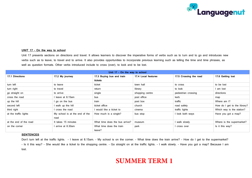

#### **UNIT 17 – On the way to school**

Unit 17 presents sections on directions and travel. It allows learners to discover the imperative forms of verbs such as to turn and to go and introduces new verbs such as to leave, to travel and to arrive. It also provides opportunities to incorporate previous learning such as telling the time and time phrases, as well as question formats. Other verbs introduced include to cross (over), to look and to be lost.

| Unit 17 - On the way to school |                                |                                |                     |                        |                              |  |  |
|--------------------------------|--------------------------------|--------------------------------|---------------------|------------------------|------------------------------|--|--|
| 17.1 Directions                | 17.2 My journey                | 17.3 Buying bus and train      | 17.4 Local features | 17.5 Crossing the road | 17.6 Getting lost            |  |  |
|                                |                                | tickets                        |                     |                        |                              |  |  |
| turn left                      | to leave                       | ticket                         | town hall           | to cross               | to be lost                   |  |  |
| turn right                     | to travel                      | return                         | library             | to look                | I am lost                    |  |  |
| go straight on                 | to arrive                      | single                         | shopping centre     | pedestrian crossing    | directions                   |  |  |
| cross the road                 | leave at 8.15am                | bus                            | post office         | kerb                   | map                          |  |  |
| up the hill                    | I go on the bus                | train                          | post box            | traffic                | Where am I?                  |  |  |
| second left                    | walk up the hill               | ticket office                  | church              | road safety            | How do I get to the library? |  |  |
| third right                    | cross the road                 | I would like a ticket to       | cinema              | traffic lights         | Which way is the station?    |  |  |
| at the traffic lights          | My school is at the end of the | How much is a single?          | bus stop            | I look both ways       | Have you got a map?          |  |  |
|                                | road                           |                                |                     |                        |                              |  |  |
| at the end of the road         | It takes 15 minutes            | What time does the bus arrive? | museum              | I walk slowly          | Where is the supermarket?    |  |  |
| on the corner                  | arrive at 8.30am               | What time does the train       | park                | l cross over           | Is it this way?              |  |  |
|                                |                                | leave?                         |                     |                        |                              |  |  |

#### **SENTENCES**

Don't turn left at the traffic lights. - I leave at 8.15am. - My school is on the corner. - What time does the train arrive? - How do I get to the supermarket? - Is it this way? - She would like a ticket to the shopping centre. - Go straight on at the traffic lights. - I walk slowly. - Have you got a map? Because I am lost.

### **SUMMER TERM 1**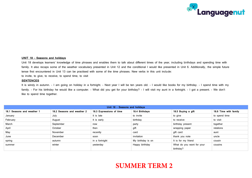

#### **UNIT 18 – Seasons and holidays**

Unit 18 develops learners' knowledge of time phrases and enables them to talk about different times of the year, including birthdays and spending time with family. It also recaps some of the weather vocabulary presented in Unit 12 and the conditional I would like presented in Unit 6. Additionally, the simple future tense first encountered in Unit 13 can be practised with some of the time phrases. New verbs in this unit include:

to invite, to give, to receive, to spend time, to visit

#### **SENTENCES**

It is windy in autumn. - I am going on holiday in a fortnight. - Next year I will be ten years old. - I would like books for my birthday. - I spend time with my family. - For his birthday he would like a computer. - What did you get for your birthday? - I will visit my aunt in a fortnight. - I got a present. - We don't like to spend time together.

| Unit 18 - Seasons and holidays |                            |                          |                   |                           |                       |  |  |  |
|--------------------------------|----------------------------|--------------------------|-------------------|---------------------------|-----------------------|--|--|--|
| 18.1 Seasons and weather 1     | 18.2 Seasons and weather 2 | 18.3 Expressions of time | 18.4 Birthdays    | 18.5 Buying a gift        | 18.6 Time with family |  |  |  |
| January                        | July                       | It is late               | to invite         | to give                   | to spend time         |  |  |  |
| February                       | August                     | It is early              | birthday          | to receive                | to visit              |  |  |  |
| March                          | September                  | now                      | party             | birthday present          | together              |  |  |  |
| April                          | October                    | then                     | gift              | wrapping paper            | relations             |  |  |  |
| May                            | November                   | recently                 | card              | gift card                 | aunt                  |  |  |  |
| June                           | December                   | soon                     | invitation        | thank you note            | uncle                 |  |  |  |
| spring                         | autumn                     | in a fortnight           | My birthday is on | It is for my friend       | cousin                |  |  |  |
| summer                         | winter                     | yesterday                | Happy birthday    | What do you want for your | cousins               |  |  |  |
|                                |                            |                          |                   | birthday?                 |                       |  |  |  |

### **SUMMER TERM 2**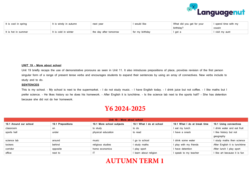

| It is cool in spring | it is windy in autumn | next year              | would like      | What did you get for your | I spend time with my |
|----------------------|-----------------------|------------------------|-----------------|---------------------------|----------------------|
|                      |                       |                        |                 | birthdav?                 | cousin               |
| It is hot in summer  | t is cold in winter   | the day after tomorrow | for my birthday | ' got a                   | l visit my aunt      |

#### **UNIT 19 – More about school**

Unit 19 briefly recaps the use of demonstrative pronouns as seen in Unit 11. It also introduces prepositions of place, provides revision of the first person singular form of a range of present tense verbs and encourages students to expand their sentences by using an array of connectives. New verbs include to study and to do.

#### **SENTENCES**

This is my school. - My school is next to the supermarket. - I do not study music. - I have English today. - I drink juice but not coffee. - I like maths but I prefer science. - He likes history so he does his homework. - After English it is lunchtime. - Is the science lab next to the sports hall? - She has detention because she did not do her homework.

### **Y6 2024-2025**

| Unit 19 - More about school |                   |                           |                          |                              |                               |  |  |  |
|-----------------------------|-------------------|---------------------------|--------------------------|------------------------------|-------------------------------|--|--|--|
| 19.1 Around our school      | 19.1 Prepositions | 19.1 More school subjects | 19.1 What I do at school | 19.1 What I do at break time | 19.1 Using connectives        |  |  |  |
| classroom                   | on                | to study                  | to do                    | I eat my lunch               | I drink water and eat fruit   |  |  |  |
| sports hall                 | under             | physical education        | to read                  | I have a snack               | I like history but not        |  |  |  |
|                             |                   |                           |                          |                              | geography                     |  |  |  |
| science lab                 | around            | music                     | I go to school           | I drink some water           | I study maths then science    |  |  |  |
| lockers                     | behind            | religious studies         | I study maths            | I play with my friends       | After English it is lunchtime |  |  |  |
| corridor                    | opposite          | home economics            | I play sport             | I have detention             | After lunch I play sport      |  |  |  |
| office                      | next to           |                           | I learn about religion   | I speak to my teacher        | I like art because it is fun  |  |  |  |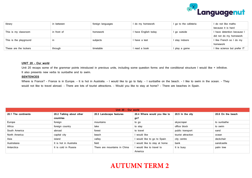

| library                | in between  | foreign languages | I do my homework     | I go to the cafeteria | I do not like maths        |
|------------------------|-------------|-------------------|----------------------|-----------------------|----------------------------|
|                        |             |                   |                      |                       | because it is hard         |
| This is my classroom   | in front of | homework          | I have English today | I go outside          | have detention because I   |
|                        |             |                   |                      |                       | did not do my homework     |
| This is the playground | ın          | subjects          | I have a test        | I stav indoors        | I like French so I do my   |
|                        |             |                   |                      |                       | homework                   |
| These are the lockers  | through     | timetable         | I read a book        | I play a game         | like science but prefer IT |

#### **UNIT 20 – Our world**

Unit 20 recaps some of the grammar points introduced in previous units, including some question forms and the conditional structure I would like + infinitive. It also presents new verbs to sunbathe and to swim.

#### **SENTENCES**

Where is France? - France is in Europe. - It is hot in Australia. - I would like to go to Italy. - I sunbathe on the beach. - I like to swim in the ocean. - They would not like to travel abroad. - There are lots of tourist attractions. - Would you like to stay at home? - There are beaches in Spain.

| Unit 20 - Our world |                          |                              |                              |                    |                   |  |  |
|---------------------|--------------------------|------------------------------|------------------------------|--------------------|-------------------|--|--|
| 20.1 The continents | 20.2 Talking about other | 20.3 Landscape features      | 20.4 Where would you like to | 20.5 In the city   | 20.6 On the beach |  |  |
|                     | countries                |                              | go?                          |                    |                   |  |  |
| Europe              | foreign                  | mountains                    | to go                        | skyscraper         | to sunbathe       |  |  |
| Africa              | foreign country          | lake                         | to stay                      | office block       | to swim           |  |  |
| South America       | abroad                   | forest                       | to travel                    | public transport   | sand              |  |  |
| North America       | capital city             | beach                        | I would like                 | tourist attraction | ocean             |  |  |
| Asia                | island                   | valley                       | I would like to go to Spain  | city centre        | deckchair         |  |  |
| Australasia         | It is hot in Australia   | field                        | I would like to stay at home | bank               | sandcastle        |  |  |
| Antarctica          | It is cold in Russia     | There are mountains in China | would like to travel to      | It is busy         | palm tree         |  |  |
|                     |                          |                              | America                      |                    |                   |  |  |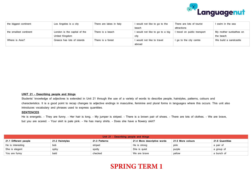

| the biggest continent  | Los Angeles is a city        | There are lakes in Italy | I would not like to go to the   | There are lots of tourist  | I swim in the sea      |
|------------------------|------------------------------|--------------------------|---------------------------------|----------------------------|------------------------|
|                        |                              |                          | beach                           | attractions                |                        |
| the smallest continent | London is the capital of the | There is a beach         | I would not like to go to a big | travel on public transport | My mother sunbathes on |
|                        | United Kingdom               |                          | city                            |                            | the beach              |
| Where is Asia?         | Greece has lots of islands   | There is a forest        | I would not like to travel      | I go to the city centre    | We build a sandcastle  |
|                        |                              |                          | abroad                          |                            |                        |

#### **UNIT 21 – Describing people and things**

Students' knowledge of adjectives is extended in Unit 21 through the use of a variety of words to describe people, hairstyles, patterns, colours and characteristics. It is a good point to recap changes to adjective endings in masculine, feminine and plural forms in languages where this occurs. This unit also introduces vocabulary and phrases used to express quantities.

#### **SENTENCES**

He is energetic. - They are funny. - Her hair is long. - My jumper is striped. - There is a brown pair of shoes. - There are lots of clothes. - We are brave, but you are scared. - Your skirt is pale pink. - He has many shirts. - Does she have a flowery skirt?

| Unit 21 - Describing people and things |                 |               |                             |                   |                 |  |  |
|----------------------------------------|-----------------|---------------|-----------------------------|-------------------|-----------------|--|--|
| 21.1 Different people                  | 21.2 Hairstyles | 21.3 Patterns | 21.4 More descriptive words | 21.5 More colours | 21.6 Quantities |  |  |
| He is interesting                      | bob             | striped       | He is strong                | pink              | a pair of       |  |  |
| She is elegant                         | spiky           | spotty        | She is quiet                | purple            | a group of      |  |  |
| You are funny                          | bald            | checked       | We are brave                | vellow            | a bunch of      |  |  |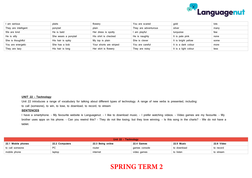

| am serious           | plaits               | flowery                 | You are scared       | gold                 | lots |
|----------------------|----------------------|-------------------------|----------------------|----------------------|------|
| They are intelligent | ponytail             | plain                   | They are adventurous | silver               | many |
| We are kind          | He is bald           | Her dress is spotty     | l am playful         | turquoise            | few  |
| He is silly          | She wears a ponytail | His shirt is checked    | He is naughty        | It is pale pink      | none |
| She is thoughtful    | His hair is spiky    | My top is plain         | She is clever        | It is bright yellow  | some |
| You are energetic    | She has a bob        | Your shorts are striped | You are careful      | It is a dark colour  | more |
| They are lazy        | His hair is long     | Her skirt is flowery    | They are noisy       | It is a light colour | less |

#### **UNIT 22 – Technology**

Unit 22 introduces a range of vocabulary for talking about different types of technology. A range of new verbs is presented, including:

to call (someone), to win, to lose, to download, to record, to stream

#### **SENTENCES**

I have a smartphone. - My favourite website is Languagenut. - I like to download music. - I prefer watching videos. - Video games are my favourite. - My brother uses apps on his phone. - Can you rewind this? - They do not like losing, but they love winning. - Is this song in the charts? - We do not have a tablet.

| Unit 22 - Technology |                |                   |               |             |            |  |
|----------------------|----------------|-------------------|---------------|-------------|------------|--|
| 22.1 Mobile phones   | 22.2 Computers | 22.3 Being online | 22.4 Games    | 22.5 Music  | 22.6 Video |  |
| to call someone      | <b>PC</b>      | router            | games console | to download | to record  |  |
| mobile phone         | laptop         | internet          | video games   | to listen   | to stream  |  |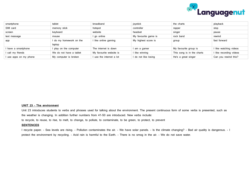

| smartphone           | tablet                  | broadband               | joystick             | the charts                 | playback              |
|----------------------|-------------------------|-------------------------|----------------------|----------------------------|-----------------------|
| SIM card             | memory stick            | hotspot                 | controller           | rapper                     | stop                  |
| screen               | keyboard                | website                 | headset              | singer                     | pause                 |
| text message         | mouse                   | l go online             | My favourite game is | rock band                  | rewind                |
| app                  | I do my homework on the | like online gaming      | My highest score is  | group                      | fast forward          |
|                      | laptop                  |                         |                      |                            |                       |
| have a smartphone    | I play on the computer  | The internet is down    | am a gamer           | My favourite group is      | like watching videos  |
| I call my friends    | We do not have a tablet | My favourite website is | I like winning       | This song is in the charts | like recording videos |
| use apps on my phone | My computer is broken   | use the internet a lot  | I do not like losing | He's a great singer        | Can you rewind this?  |

#### **UNIT 23 – The environment**

Unit 23 introduces students to verbs and phrases used for talking about the environment. The present continuous form of some verbs is presented, such as the weather is changing. In addition further numbers from 41-50 are introduced. New verbs include:

to recycle, to reuse, to rise, to melt, to change, to pollute, to contaminate, to be green, to protect, to prevent

#### **SENTENCES**

I recycle paper. - Sea levels are rising. - Pollution contaminates the air. - We have solar panels. - Is the climate changing? - Bad air quality is dangerous. - I protect the environment by recycling. - Acid rain is harmful to the Earth. - There is no smog in the air. - We do not save water.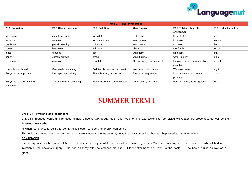

| Unit 23 - The environment |                         |                                 |                           |                              |                      |
|---------------------------|-------------------------|---------------------------------|---------------------------|------------------------------|----------------------|
| 23.1 Recycling            | 23.2 Climate change     | 23.3 Pollution                  | 23.4 Energy               | 23.5 Talking about the       | 23.6 Ordinal numbers |
|                           |                         |                                 |                           | environment                  |                      |
| to recycle                | climate change          | to pollute                      | to be green               | to protect                   | first                |
| to reuse                  | weather                 | to contaminate                  | solar power               | to prevent                   | second               |
| cardboard                 | global warming          | pollution                       | solar panel               | to save                      | third                |
| plastic                   | heatwave                | acid rain                       | clean                     | the Earth                    | fourth               |
| glass                     | drought                 | gas                             | wind farm                 | air quality                  | fifth                |
| paper                     | carbon dioxide          | smog                            | wind turbine              | water quality                | sixth                |
| environment               | emissions               | harmful                         | Green energy is important | I protect the environment by | seventh              |
|                           |                         |                                 |                           | recycling                    |                      |
| I recycle cardboard       | Sea levels are rising   | Pollution is bad for our health | We have solar panels      | We save water                | eighth               |
| Recycling is important    | Ice caps are melting    | There is smog in the air        | This is solar-powered     | It is important to prevent   | ninth                |
|                           |                         |                                 |                           | pollution                    |                      |
| Recycling is good for the | The weather is changing | Water becomes contaminated      | Wind energy is clean      | Bad air quality is dangerous | tenth                |
| environment               |                         |                                 |                           |                              |                      |

# **SUMMER TERM 1**

#### **UNIT 24 – Hygiene and healthcare**

Unit 24 introduces words and phrases to help students talk about health and hygiene. The expressions to feel sick/unwell/better are presented, as well as the following new verbs:

to wash, to shave, to be ill, to vomit, to fall over, to crash, to break (something)

This unit also introduces the past tense to allow students the opportunity to talk about something that has happened to them or others.

#### **SENTENCES**

I wash my face. - She does not have a headache. - They went to the dentist. - I broke my arm. - You had an x-ray. - Do you have a cold? - I had an injection at the doctor's surgery. - He had an x-ray after he crashed his bike. - I feel better because I went to the doctor. - She has a bruise as well as a graze.